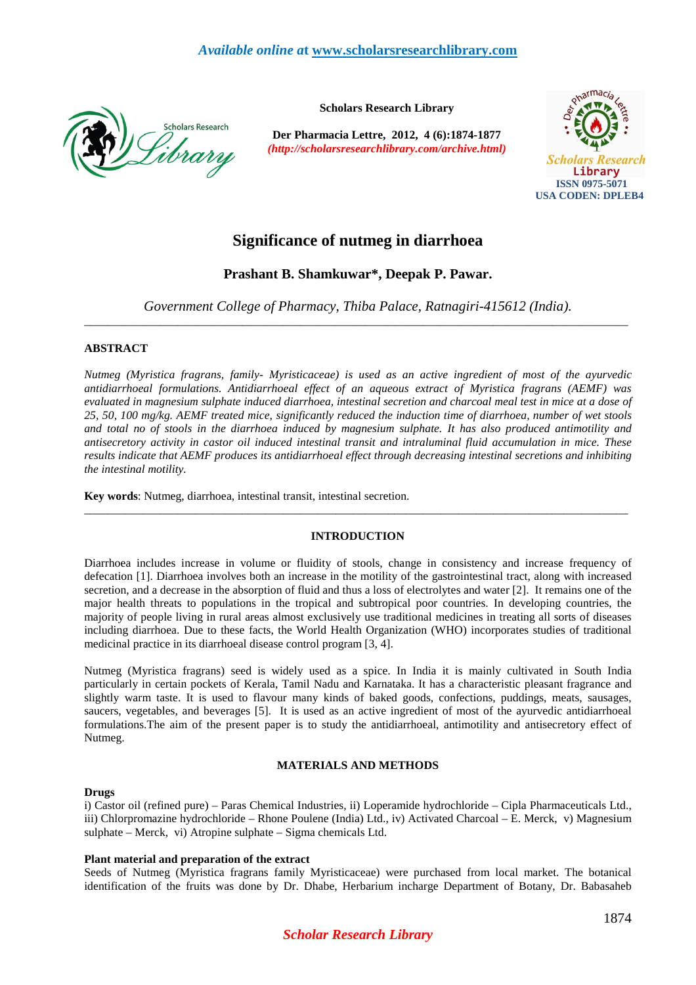

**Scholars Research Library** 

**Der Pharmacia Lettre, 2012, 4 (6):1874-1877**  *(http://scholarsresearchlibrary.com/archive.html)*



# **Significance of nutmeg in diarrhoea**

**Prashant B. Shamkuwar\*, Deepak P. Pawar.** 

*Government College of Pharmacy, Thiba Palace, Ratnagiri-415612 (India).*  \_\_\_\_\_\_\_\_\_\_\_\_\_\_\_\_\_\_\_\_\_\_\_\_\_\_\_\_\_\_\_\_\_\_\_\_\_\_\_\_\_\_\_\_\_\_\_\_\_\_\_\_\_\_\_\_\_\_\_\_\_\_\_\_\_\_\_\_\_\_\_\_\_\_\_\_\_\_\_\_\_\_\_\_\_\_\_\_\_\_\_\_\_

# **ABSTRACT**

*Nutmeg (Myristica fragrans, family- Myristicaceae) is used as an active ingredient of most of the ayurvedic antidiarrhoeal formulations. Antidiarrhoeal effect of an aqueous extract of Myristica fragrans (AEMF) was evaluated in magnesium sulphate induced diarrhoea, intestinal secretion and charcoal meal test in mice at a dose of 25, 50, 100 mg/kg. AEMF treated mice, significantly reduced the induction time of diarrhoea, number of wet stools and total no of stools in the diarrhoea induced by magnesium sulphate. It has also produced antimotility and antisecretory activity in castor oil induced intestinal transit and intraluminal fluid accumulation in mice. These results indicate that AEMF produces its antidiarrhoeal effect through decreasing intestinal secretions and inhibiting the intestinal motility.* 

**Key words**: Nutmeg, diarrhoea, intestinal transit, intestinal secretion.

# **INTRODUCTION**

\_\_\_\_\_\_\_\_\_\_\_\_\_\_\_\_\_\_\_\_\_\_\_\_\_\_\_\_\_\_\_\_\_\_\_\_\_\_\_\_\_\_\_\_\_\_\_\_\_\_\_\_\_\_\_\_\_\_\_\_\_\_\_\_\_\_\_\_\_\_\_\_\_\_\_\_\_\_\_\_\_\_\_\_\_\_\_\_\_\_\_\_\_

Diarrhoea includes increase in volume or fluidity of stools, change in consistency and increase frequency of defecation [1]. Diarrhoea involves both an increase in the motility of the gastrointestinal tract, along with increased secretion, and a decrease in the absorption of fluid and thus a loss of electrolytes and water [2]. It remains one of the major health threats to populations in the tropical and subtropical poor countries. In developing countries, the majority of people living in rural areas almost exclusively use traditional medicines in treating all sorts of diseases including diarrhoea. Due to these facts, the World Health Organization (WHO) incorporates studies of traditional medicinal practice in its diarrhoeal disease control program [3, 4].

Nutmeg (Myristica fragrans) seed is widely used as a spice. In India it is mainly cultivated in South India particularly in certain pockets of Kerala, Tamil Nadu and Karnataka. It has a characteristic pleasant fragrance and slightly warm taste. It is used to flavour many kinds of baked goods, confections, puddings, meats, sausages, saucers, vegetables, and beverages [5]. It is used as an active ingredient of most of the ayurvedic antidiarrhoeal formulations.The aim of the present paper is to study the antidiarrhoeal, antimotility and antisecretory effect of Nutmeg.

# **MATERIALS AND METHODS**

# **Drugs**

i) Castor oil (refined pure) – Paras Chemical Industries, ii) Loperamide hydrochloride – Cipla Pharmaceuticals Ltd., iii) Chlorpromazine hydrochloride – Rhone Poulene (India) Ltd., iv) Activated Charcoal – E. Merck, v) Magnesium sulphate – Merck, vi) Atropine sulphate – Sigma chemicals Ltd.

# **Plant material and preparation of the extract**

Seeds of Nutmeg (Myristica fragrans family Myristicaceae) were purchased from local market. The botanical identification of the fruits was done by Dr. Dhabe, Herbarium incharge Department of Botany, Dr. Babasaheb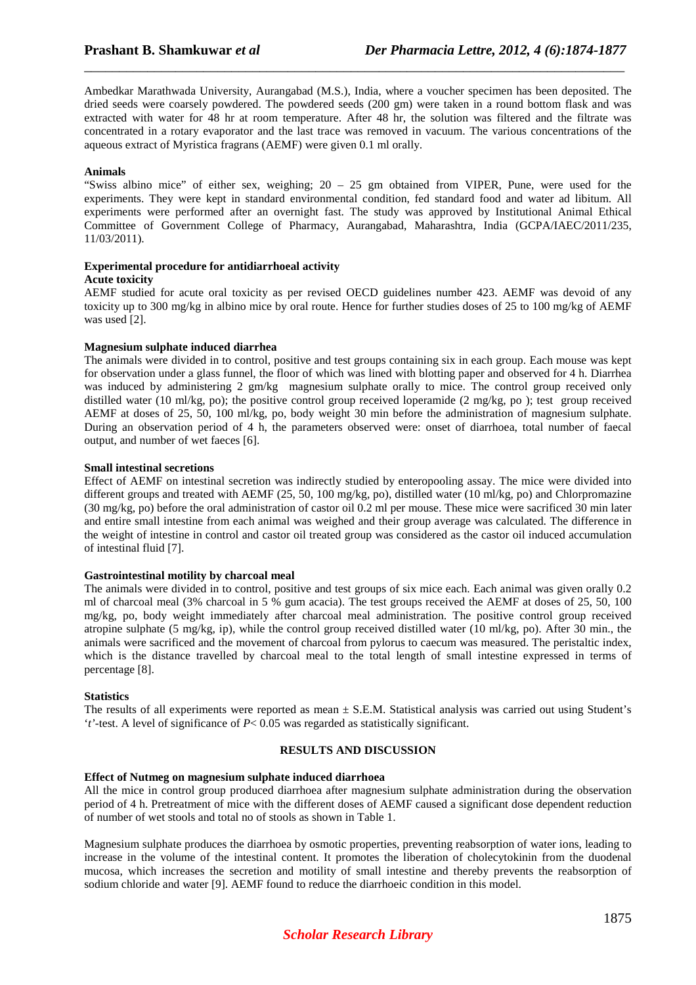Ambedkar Marathwada University, Aurangabad (M.S.), India, where a voucher specimen has been deposited. The dried seeds were coarsely powdered. The powdered seeds (200 gm) were taken in a round bottom flask and was extracted with water for 48 hr at room temperature. After 48 hr, the solution was filtered and the filtrate was concentrated in a rotary evaporator and the last trace was removed in vacuum. The various concentrations of the aqueous extract of Myristica fragrans (AEMF) were given 0.1 ml orally.

\_\_\_\_\_\_\_\_\_\_\_\_\_\_\_\_\_\_\_\_\_\_\_\_\_\_\_\_\_\_\_\_\_\_\_\_\_\_\_\_\_\_\_\_\_\_\_\_\_\_\_\_\_\_\_\_\_\_\_\_\_\_\_\_\_\_\_\_\_\_\_\_\_\_\_\_\_

## **Animals**

"Swiss albino mice" of either sex, weighing; 20 – 25 gm obtained from VIPER, Pune, were used for the experiments. They were kept in standard environmental condition, fed standard food and water ad libitum. All experiments were performed after an overnight fast. The study was approved by Institutional Animal Ethical Committee of Government College of Pharmacy, Aurangabad, Maharashtra, India (GCPA/IAEC/2011/235, 11/03/2011).

#### **Experimental procedure for antidiarrhoeal activity Acute toxicity**

AEMF studied for acute oral toxicity as per revised OECD guidelines number 423. AEMF was devoid of any toxicity up to 300 mg/kg in albino mice by oral route. Hence for further studies doses of 25 to 100 mg/kg of AEMF was used [2].

## **Magnesium sulphate induced diarrhea**

The animals were divided in to control, positive and test groups containing six in each group. Each mouse was kept for observation under a glass funnel, the floor of which was lined with blotting paper and observed for 4 h. Diarrhea was induced by administering 2 gm/kg magnesium sulphate orally to mice. The control group received only distilled water (10 ml/kg, po); the positive control group received loperamide (2 mg/kg, po ); test group received AEMF at doses of 25, 50, 100 ml/kg, po, body weight 30 min before the administration of magnesium sulphate. During an observation period of 4 h, the parameters observed were: onset of diarrhoea, total number of faecal output, and number of wet faeces [6].

## **Small intestinal secretions**

Effect of AEMF on intestinal secretion was indirectly studied by enteropooling assay. The mice were divided into different groups and treated with AEMF (25, 50, 100 mg/kg, po), distilled water (10 ml/kg, po) and Chlorpromazine (30 mg/kg, po) before the oral administration of castor oil 0.2 ml per mouse. These mice were sacrificed 30 min later and entire small intestine from each animal was weighed and their group average was calculated. The difference in the weight of intestine in control and castor oil treated group was considered as the castor oil induced accumulation of intestinal fluid [7].

#### **Gastrointestinal motility by charcoal meal**

The animals were divided in to control, positive and test groups of six mice each. Each animal was given orally 0.2 ml of charcoal meal (3% charcoal in 5 % gum acacia). The test groups received the AEMF at doses of 25, 50, 100 mg/kg, po, body weight immediately after charcoal meal administration. The positive control group received atropine sulphate (5 mg/kg, ip), while the control group received distilled water (10 ml/kg, po). After 30 min., the animals were sacrificed and the movement of charcoal from pylorus to caecum was measured. The peristaltic index, which is the distance travelled by charcoal meal to the total length of small intestine expressed in terms of percentage [8].

# **Statistics**

The results of all experiments were reported as mean  $\pm$  S.E.M. Statistical analysis was carried out using Student's '*t'*-test. A level of significance of *P*< 0.05 was regarded as statistically significant.

# **RESULTS AND DISCUSSION**

## **Effect of Nutmeg on magnesium sulphate induced diarrhoea**

All the mice in control group produced diarrhoea after magnesium sulphate administration during the observation period of 4 h. Pretreatment of mice with the different doses of AEMF caused a significant dose dependent reduction of number of wet stools and total no of stools as shown in Table 1.

Magnesium sulphate produces the diarrhoea by osmotic properties, preventing reabsorption of water ions, leading to increase in the volume of the intestinal content. It promotes the liberation of cholecytokinin from the duodenal mucosa, which increases the secretion and motility of small intestine and thereby prevents the reabsorption of sodium chloride and water [9]. AEMF found to reduce the diarrhoeic condition in this model.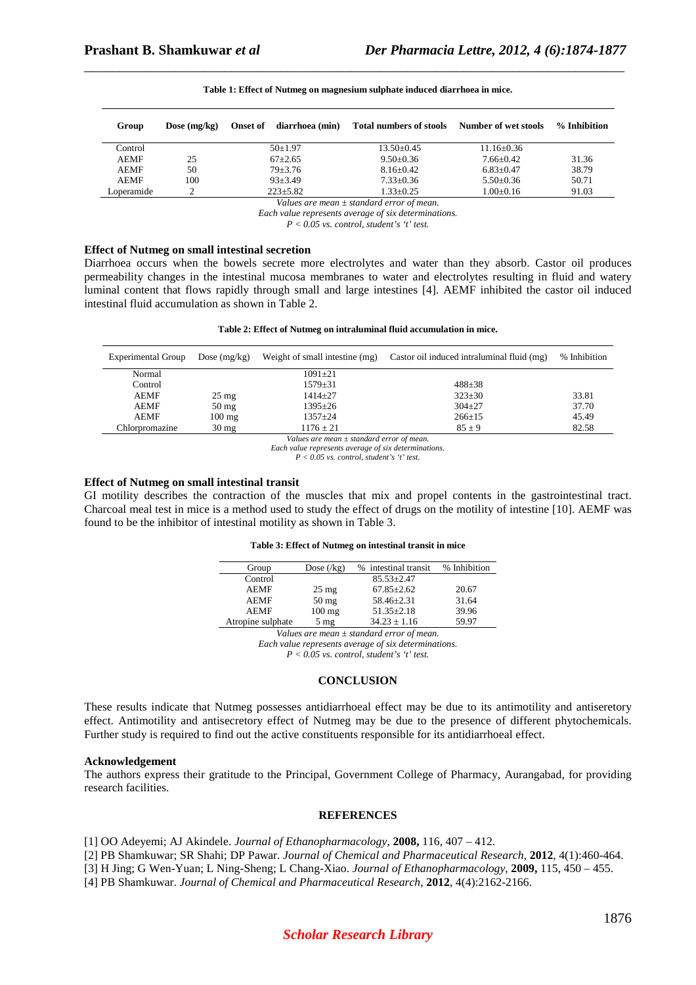| Dose $(mg/kg)$ | diarrhoea (min)<br><b>Onset of</b> | <b>Total numbers of stools</b> | Number of wet stools | % Inhibition |
|----------------|------------------------------------|--------------------------------|----------------------|--------------|
|                | $50+1.97$                          | $13.50 + 0.45$                 | $11.16 \pm 0.36$     |              |
| 25             | $67+2.65$                          | $9.50 \pm 0.36$                | $7.66 + 0.42$        | 31.36        |
| 50             | $79 + 3.76$                        | $8.16 + 0.42$                  | $6.83+0.47$          | 38.79        |
| 100            | $93 + 3.49$                        | $7.33 \pm 0.36$                | $5.50 \pm 0.36$      | 50.71        |
|                | $223 \pm 5.82$                     | $1.33 \pm 0.25$                | $1.00 \pm 0.16$      | 91.03        |
|                |                                    | $  -$                          |                      |              |

#### **Table 1: Effect of Nutmeg on magnesium sulphate induced diarrhoea in mice.**

\_\_\_\_\_\_\_\_\_\_\_\_\_\_\_\_\_\_\_\_\_\_\_\_\_\_\_\_\_\_\_\_\_\_\_\_\_\_\_\_\_\_\_\_\_\_\_\_\_\_\_\_\_\_\_\_\_\_\_\_\_\_\_\_\_\_\_\_\_\_\_\_\_\_\_\_\_

*Values are mean ± standard error of mean.* 

*Each value represents average of six determinations. P < 0.05 vs. control, student's 't' test.* 

#### **Effect of Nutmeg on small intestinal secretion**

Diarrhoea occurs when the bowels secrete more electrolytes and water than they absorb. Castor oil produces permeability changes in the intestinal mucosa membranes to water and electrolytes resulting in fluid and watery luminal content that flows rapidly through small and large intestines [4]. AEMF inhibited the castor oil induced intestinal fluid accumulation as shown in Table 2.

| Experimental Group | Dose $(mg/kg)$   | Weight of small intestine (mg) | Castor oil induced intraluminal fluid (mg) | % Inhibition |
|--------------------|------------------|--------------------------------|--------------------------------------------|--------------|
| Normal             |                  | $1091 + 21$                    |                                            |              |
| Control            |                  | $1579 \pm 31$                  | $488 \pm 38$                               |              |
| <b>AEMF</b>        | $25 \text{ mg}$  | $1414 + 27$                    | $323 \pm 30$                               | 33.81        |
| <b>AEMF</b>        | $50 \text{ mg}$  | $1395 \pm 26$                  | $304 + 27$                                 | 37.70        |
| AEMF               | $100 \text{ mg}$ | $1357 + 24$                    | $266 \pm 15$                               | 45.49        |
| Chlorpromazine     | $30 \text{ mg}$  | $1176 \pm 21$                  | $85 + 9$                                   | 82.58        |

*Values are mean ± standard error of mean.* 

*Each value represents average of six determinations.* 

*P < 0.05 vs. control, student's 't' test.* 

## **Effect of Nutmeg on small intestinal transit**

GI motility describes the contraction of the muscles that mix and propel contents in the gastrointestinal tract. Charcoal meal test in mice is a method used to study the effect of drugs on the motility of intestine [10]. AEMF was found to be the inhibitor of intestinal motility as shown in Table 3.

|  |  |  |  | Table 3: Effect of Nutmeg on intestinal transit in mice |
|--|--|--|--|---------------------------------------------------------|
|--|--|--|--|---------------------------------------------------------|

| Group                                         | Dose $(\frac{1}{k}g)$ | % intestinal transit | % Inhibition |
|-----------------------------------------------|-----------------------|----------------------|--------------|
| Control                                       |                       | $85.53 \pm 2.47$     |              |
| <b>AEMF</b>                                   | $25 \text{ mg}$       | $67.85 \pm 2.62$     | 20.67        |
| <b>AEMF</b>                                   | $50 \text{ mg}$       | $58.46 \pm 2.31$     | 31.64        |
| <b>AEMF</b>                                   | $100$ mg              | $51.35 \pm 2.18$     | 39.96        |
| Atropine sulphate                             | 5 <sub>mg</sub>       | $34.23 \pm 1.16$     | 59.97        |
| Values are mean $\pm$ standard error of mean. |                       |                      |              |

*Each value represents average of six determinations.* 

*P < 0.05 vs. control, student's 't' test.* 

#### **CONCLUSION**

These results indicate that Nutmeg possesses antidiarrhoeal effect may be due to its antimotility and antiseretory effect. Antimotility and antisecretory effect of Nutmeg may be due to the presence of different phytochemicals. Further study is required to find out the active constituents responsible for its antidiarrhoeal effect.

#### **Acknowledgement**

The authors express their gratitude to the Principal, Government College of Pharmacy, Aurangabad, for providing research facilities.

#### **REFERENCES**

[1] OO Adeyemi; AJ Akindele. *Journal of Ethanopharmacology*, **2008,** 116, 407 – 412.

[2] PB Shamkuwar; SR Shahi; DP Pawar. *Journal of Chemical and Pharmaceutical Research,* **2012**, 4(1):460-464.

[3] H Jing; G Wen-Yuan; L Ning-Sheng; L Chang-Xiao. *Journal of Ethanopharmacology*, **2009,** 115, 450 – 455.

[4] PB Shamkuwar. *Journal of Chemical and Pharmaceutical Research*, **2012**, 4(4):2162-2166.